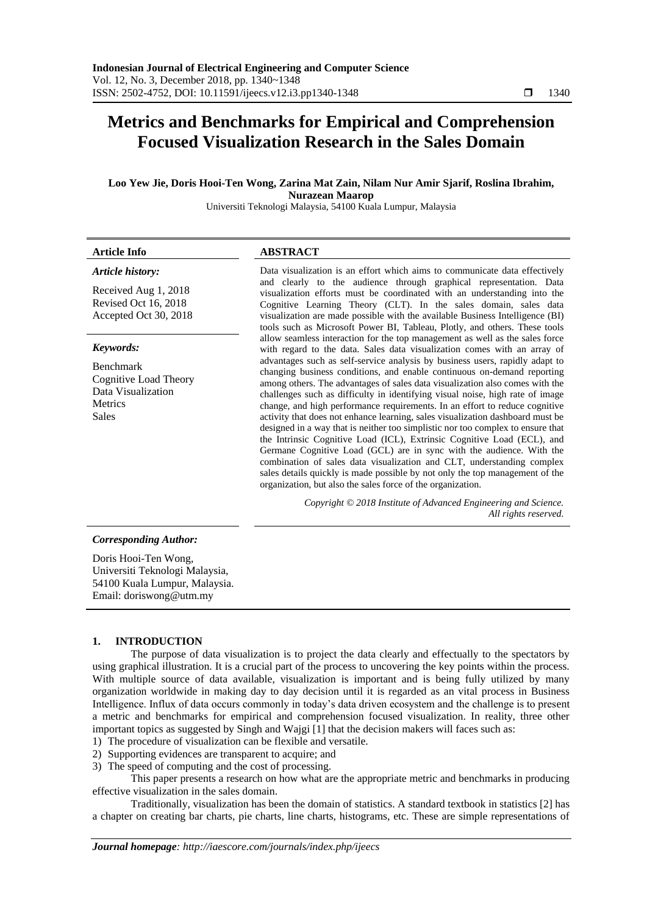# **Metrics and Benchmarks for Empirical and Comprehension Focused Visualization Research in the Sales Domain**

# **Loo Yew Jie, Doris Hooi-Ten Wong, Zarina Mat Zain, Nilam Nur Amir Sjarif, Roslina Ibrahim, Nurazean Maarop**

Universiti Teknologi Malaysia, 54100 Kuala Lumpur, Malaysia

| <b>Article Info</b>                                                                                                                                                                                  | <b>ABSTRACT</b>                                                                                                                                                                                                                                                                                                                                                                                                                                                                                                                                                                                                                                                                                                                                                                                                                                                                                                                                                                                                                                                                                                                                                                                                                                                                                                                                                                                                                          |  |  |  |  |  |
|------------------------------------------------------------------------------------------------------------------------------------------------------------------------------------------------------|------------------------------------------------------------------------------------------------------------------------------------------------------------------------------------------------------------------------------------------------------------------------------------------------------------------------------------------------------------------------------------------------------------------------------------------------------------------------------------------------------------------------------------------------------------------------------------------------------------------------------------------------------------------------------------------------------------------------------------------------------------------------------------------------------------------------------------------------------------------------------------------------------------------------------------------------------------------------------------------------------------------------------------------------------------------------------------------------------------------------------------------------------------------------------------------------------------------------------------------------------------------------------------------------------------------------------------------------------------------------------------------------------------------------------------------|--|--|--|--|--|
| Article history:<br>Received Aug 1, 2018<br>Revised Oct 16, 2018<br>Accepted Oct 30, 2018<br>Keywords:<br><b>Benchmark</b><br>Cognitive Load Theory<br>Data Visualization<br>Metrics<br><b>Sales</b> | Data visualization is an effort which aims to communicate data effectively<br>and clearly to the audience through graphical representation. Data<br>visualization efforts must be coordinated with an understanding into the<br>Cognitive Learning Theory (CLT). In the sales domain, sales data<br>visualization are made possible with the available Business Intelligence (BI)<br>tools such as Microsoft Power BI, Tableau, Plotly, and others. These tools<br>allow seamless interaction for the top management as well as the sales force<br>with regard to the data. Sales data visualization comes with an array of<br>advantages such as self-service analysis by business users, rapidly adapt to<br>changing business conditions, and enable continuous on-demand reporting<br>among others. The advantages of sales data visualization also comes with the<br>challenges such as difficulty in identifying visual noise, high rate of image<br>change, and high performance requirements. In an effort to reduce cognitive<br>activity that does not enhance learning, sales visualization dashboard must be<br>designed in a way that is neither too simplistic nor too complex to ensure that<br>the Intrinsic Cognitive Load (ICL), Extrinsic Cognitive Load (ECL), and<br>Germane Cognitive Load (GCL) are in sync with the audience. With the<br>combination of sales data visualization and CLT, understanding complex |  |  |  |  |  |
|                                                                                                                                                                                                      | sales details quickly is made possible by not only the top management of the<br>organization, but also the sales force of the organization.<br>Copyright © 2018 Institute of Advanced Engineering and Science.                                                                                                                                                                                                                                                                                                                                                                                                                                                                                                                                                                                                                                                                                                                                                                                                                                                                                                                                                                                                                                                                                                                                                                                                                           |  |  |  |  |  |
|                                                                                                                                                                                                      | All rights reserved.                                                                                                                                                                                                                                                                                                                                                                                                                                                                                                                                                                                                                                                                                                                                                                                                                                                                                                                                                                                                                                                                                                                                                                                                                                                                                                                                                                                                                     |  |  |  |  |  |
| <b>Corresponding Author:</b>                                                                                                                                                                         |                                                                                                                                                                                                                                                                                                                                                                                                                                                                                                                                                                                                                                                                                                                                                                                                                                                                                                                                                                                                                                                                                                                                                                                                                                                                                                                                                                                                                                          |  |  |  |  |  |
| Doris Hooi-Ten Wong,<br>Universiti Teknologi Malaysia,<br>54100 Kuala Lumpur, Malaysia.<br>Email: doriswong@utm.my                                                                                   |                                                                                                                                                                                                                                                                                                                                                                                                                                                                                                                                                                                                                                                                                                                                                                                                                                                                                                                                                                                                                                                                                                                                                                                                                                                                                                                                                                                                                                          |  |  |  |  |  |

## **1. INTRODUCTION**

The purpose of data visualization is to project the data clearly and effectually to the spectators by using graphical illustration. It is a crucial part of the process to uncovering the key points within the process. With multiple source of data available, visualization is important and is being fully utilized by many organization worldwide in making day to day decision until it is regarded as an vital process in Business Intelligence. Influx of data occurs commonly in today's data driven ecosystem and the challenge is to present a metric and benchmarks for empirical and comprehension focused visualization. In reality, three other important topics as suggested by Singh and Wajgi [1] that the decision makers will faces such as:

- 1) The procedure of visualization can be flexible and versatile.
- 2) Supporting evidences are transparent to acquire; and
- 3) The speed of computing and the cost of processing.

This paper presents a research on how what are the appropriate metric and benchmarks in producing effective visualization in the sales domain.

Traditionally, visualization has been the domain of statistics. A standard textbook in statistics [2] has a chapter on creating bar charts, pie charts, line charts, histograms, etc. These are simple representations of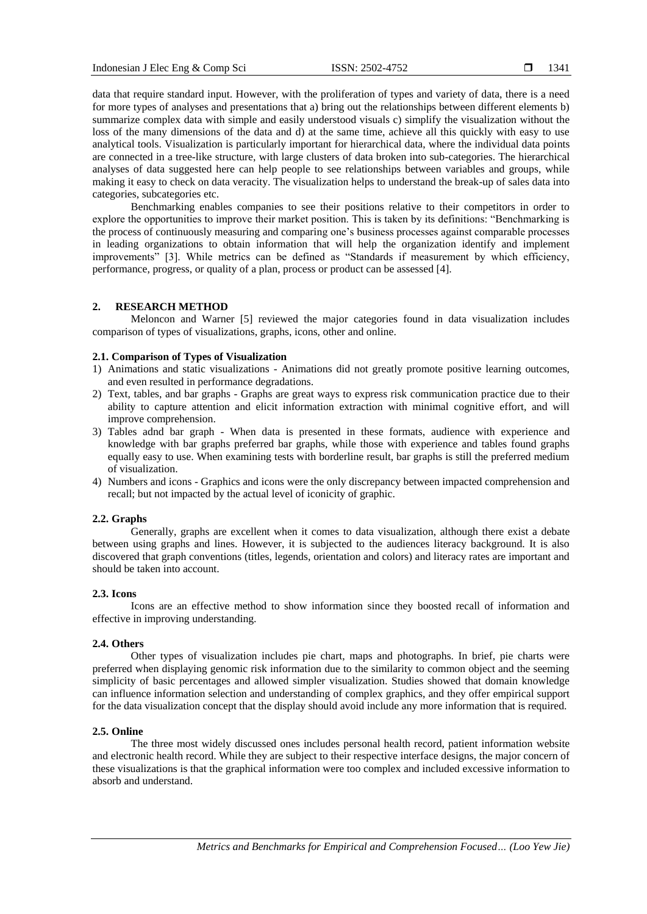data that require standard input. However, with the proliferation of types and variety of data, there is a need for more types of analyses and presentations that a) bring out the relationships between different elements b) summarize complex data with simple and easily understood visuals c) simplify the visualization without the loss of the many dimensions of the data and d) at the same time, achieve all this quickly with easy to use analytical tools. Visualization is particularly important for hierarchical data, where the individual data points are connected in a tree-like structure, with large clusters of data broken into sub-categories. The hierarchical analyses of data suggested here can help people to see relationships between variables and groups, while making it easy to check on data veracity. The visualization helps to understand the break-up of sales data into categories, subcategories etc.

Benchmarking enables companies to see their positions relative to their competitors in order to explore the opportunities to improve their market position. This is taken by its definitions: "Benchmarking is the process of continuously measuring and comparing one's business processes against comparable processes in leading organizations to obtain information that will help the organization identify and implement improvements" [3]. While metrics can be defined as "Standards if measurement by which efficiency, performance, progress, or quality of a plan, process or product can be assessed [4].

## **2. RESEARCH METHOD**

Meloncon and Warner [5] reviewed the major categories found in data visualization includes comparison of types of visualizations, graphs, icons, other and online.

## **2.1. Comparison of Types of Visualization**

- 1) Animations and static visualizations Animations did not greatly promote positive learning outcomes, and even resulted in performance degradations.
- 2) Text, tables, and bar graphs Graphs are great ways to express risk communication practice due to their ability to capture attention and elicit information extraction with minimal cognitive effort, and will improve comprehension.
- 3) Tables adnd bar graph When data is presented in these formats, audience with experience and knowledge with bar graphs preferred bar graphs, while those with experience and tables found graphs equally easy to use. When examining tests with borderline result, bar graphs is still the preferred medium of visualization.
- 4) Numbers and icons Graphics and icons were the only discrepancy between impacted comprehension and recall; but not impacted by the actual level of iconicity of graphic.

## **2.2. Graphs**

Generally, graphs are excellent when it comes to data visualization, although there exist a debate between using graphs and lines. However, it is subjected to the audiences literacy background. It is also discovered that graph conventions (titles, legends, orientation and colors) and literacy rates are important and should be taken into account.

#### **2.3. Icons**

Icons are an effective method to show information since they boosted recall of information and effective in improving understanding.

### **2.4. Others**

Other types of visualization includes pie chart, maps and photographs. In brief, pie charts were preferred when displaying genomic risk information due to the similarity to common object and the seeming simplicity of basic percentages and allowed simpler visualization. Studies showed that domain knowledge can influence information selection and understanding of complex graphics, and they offer empirical support for the data visualization concept that the display should avoid include any more information that is required.

## **2.5. Online**

The three most widely discussed ones includes personal health record, patient information website and electronic health record. While they are subject to their respective interface designs, the major concern of these visualizations is that the graphical information were too complex and included excessive information to absorb and understand.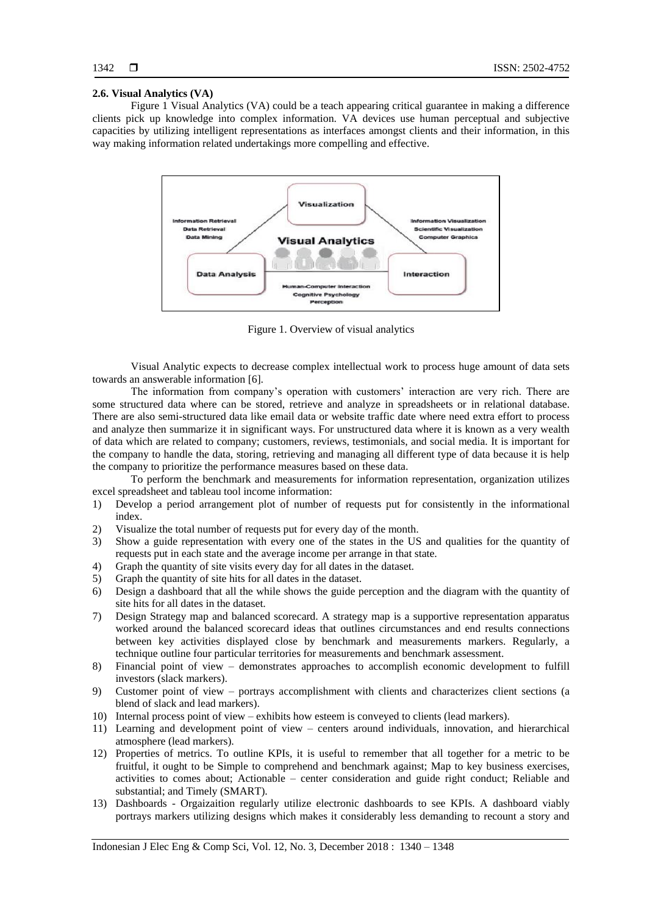## **2.6. Visual Analytics (VA)**

Figure 1 Visual Analytics (VA) could be a teach appearing critical guarantee in making a difference clients pick up knowledge into complex information. VA devices use human perceptual and subjective capacities by utilizing intelligent representations as interfaces amongst clients and their information, in this way making information related undertakings more compelling and effective.



Figure 1. Overview of visual analytics

Visual Analytic expects to decrease complex intellectual work to process huge amount of data sets towards an answerable information [6].

The information from company's operation with customers' interaction are very rich. There are some structured data where can be stored, retrieve and analyze in spreadsheets or in relational database. There are also semi-structured data like email data or website traffic date where need extra effort to process and analyze then summarize it in significant ways. For unstructured data where it is known as a very wealth of data which are related to company; customers, reviews, testimonials, and social media. It is important for the company to handle the data, storing, retrieving and managing all different type of data because it is help the company to prioritize the performance measures based on these data.

To perform the benchmark and measurements for information representation, organization utilizes excel spreadsheet and tableau tool income information:

- 1) Develop a period arrangement plot of number of requests put for consistently in the informational index.
- 2) Visualize the total number of requests put for every day of the month.
- 3) Show a guide representation with every one of the states in the US and qualities for the quantity of requests put in each state and the average income per arrange in that state.
- 4) Graph the quantity of site visits every day for all dates in the dataset.
- 5) Graph the quantity of site hits for all dates in the dataset.
- 6) Design a dashboard that all the while shows the guide perception and the diagram with the quantity of site hits for all dates in the dataset.
- 7) Design Strategy map and balanced scorecard. A strategy map is a supportive representation apparatus worked around the balanced scorecard ideas that outlines circumstances and end results connections between key activities displayed close by benchmark and measurements markers. Regularly, a technique outline four particular territories for measurements and benchmark assessment.
- 8) Financial point of view demonstrates approaches to accomplish economic development to fulfill investors (slack markers).
- 9) Customer point of view portrays accomplishment with clients and characterizes client sections (a blend of slack and lead markers).
- 10) Internal process point of view exhibits how esteem is conveyed to clients (lead markers).
- 11) Learning and development point of view centers around individuals, innovation, and hierarchical atmosphere (lead markers).
- 12) Properties of metrics. To outline KPIs, it is useful to remember that all together for a metric to be fruitful, it ought to be Simple to comprehend and benchmark against; Map to key business exercises, activities to comes about; Actionable – center consideration and guide right conduct; Reliable and substantial; and Timely (SMART).
- 13) Dashboards Orgaizaition regularly utilize electronic dashboards to see KPIs. A dashboard viably portrays markers utilizing designs which makes it considerably less demanding to recount a story and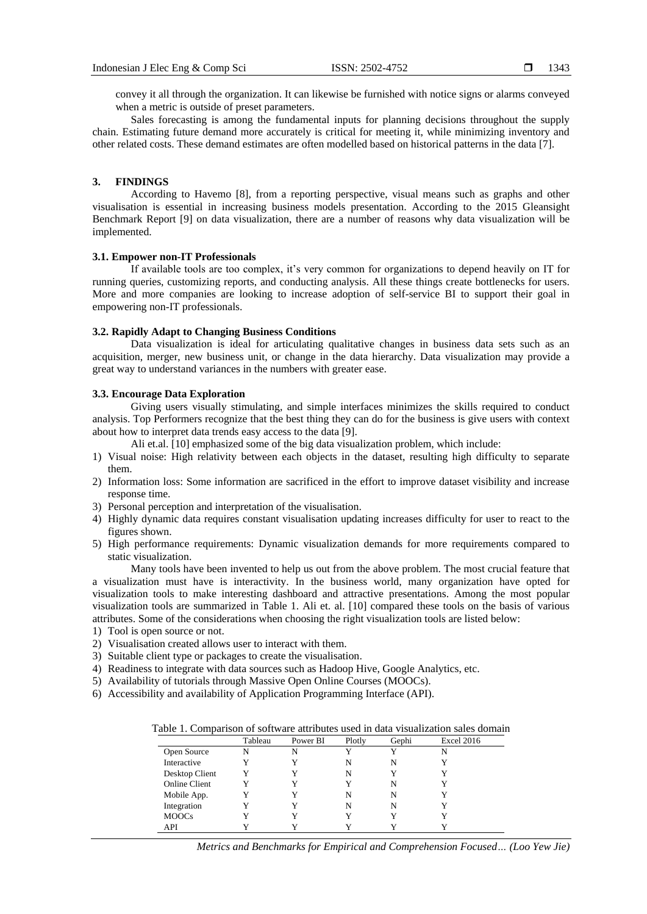convey it all through the organization. It can likewise be furnished with notice signs or alarms conveyed when a metric is outside of preset parameters.

Sales forecasting is among the fundamental inputs for planning decisions throughout the supply chain. Estimating future demand more accurately is critical for meeting it, while minimizing inventory and other related costs. These demand estimates are often modelled based on historical patterns in the data [7].

#### **3. FINDINGS**

According to Havemo [8], from a reporting perspective, visual means such as graphs and other visualisation is essential in increasing business models presentation. According to the 2015 Gleansight Benchmark Report [9] on data visualization, there are a number of reasons why data visualization will be implemented.

## **3.1. Empower non-IT Professionals**

If available tools are too complex, it's very common for organizations to depend heavily on IT for running queries, customizing reports, and conducting analysis. All these things create bottlenecks for users. More and more companies are looking to increase adoption of self-service BI to support their goal in empowering non-IT professionals.

#### **3.2. Rapidly Adapt to Changing Business Conditions**

Data visualization is ideal for articulating qualitative changes in business data sets such as an acquisition, merger, new business unit, or change in the data hierarchy. Data visualization may provide a great way to understand variances in the numbers with greater ease.

#### **3.3. Encourage Data Exploration**

Giving users visually stimulating, and simple interfaces minimizes the skills required to conduct analysis. Top Performers recognize that the best thing they can do for the business is give users with context about how to interpret data trends easy access to the data [9].

Ali et.al. [10] emphasized some of the big data visualization problem, which include:

- 1) Visual noise: High relativity between each objects in the dataset, resulting high difficulty to separate them.
- 2) Information loss: Some information are sacrificed in the effort to improve dataset visibility and increase response time.
- 3) Personal perception and interpretation of the visualisation.
- 4) Highly dynamic data requires constant visualisation updating increases difficulty for user to react to the figures shown.
- 5) High performance requirements: Dynamic visualization demands for more requirements compared to static visualization.

Many tools have been invented to help us out from the above problem. The most crucial feature that a visualization must have is interactivity. In the business world, many organization have opted for visualization tools to make interesting dashboard and attractive presentations. Among the most popular visualization tools are summarized in Table 1. Ali et. al. [10] compared these tools on the basis of various attributes. Some of the considerations when choosing the right visualization tools are listed below:

- 1) Tool is open source or not.
- 2) Visualisation created allows user to interact with them.
- 3) Suitable client type or packages to create the visualisation.
- 4) Readiness to integrate with data sources such as Hadoop Hive, Google Analytics, etc.
- 5) Availability of tutorials through Massive Open Online Courses (MOOCs).
- 6) Accessibility and availability of Application Programming Interface (API).

|  |  | Table 1. Comparison of software attributes used in data visualization sales domain |  |  |  |  |  |  |
|--|--|------------------------------------------------------------------------------------|--|--|--|--|--|--|
|  |  |                                                                                    |  |  |  |  |  |  |

|                      | Tableau | Power BI | Plotly | Gephi | <b>Excel 2016</b> |
|----------------------|---------|----------|--------|-------|-------------------|
| Open Source          | N       | N        | Y      |       | N                 |
| Interactive          |         |          | N      | N     |                   |
| Desktop Client       |         |          | N      |       |                   |
| <b>Online Client</b> |         |          |        | N     |                   |
| Mobile App.          |         |          | N      | N     |                   |
| Integration          |         |          | N      | N     |                   |
| <b>MOOCs</b>         |         |          | Y      |       |                   |
| API                  |         |          |        |       |                   |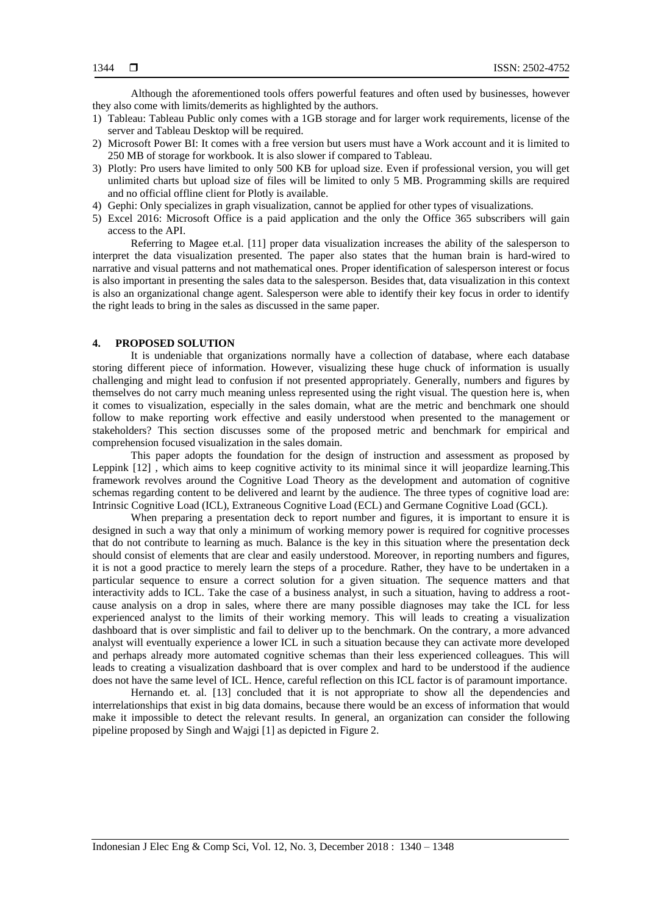Although the aforementioned tools offers powerful features and often used by businesses, however they also come with limits/demerits as highlighted by the authors.

- 1) Tableau: Tableau Public only comes with a 1GB storage and for larger work requirements, license of the server and Tableau Desktop will be required.
- 2) Microsoft Power BI: It comes with a free version but users must have a Work account and it is limited to 250 MB of storage for workbook. It is also slower if compared to Tableau.
- 3) Plotly: Pro users have limited to only 500 KB for upload size. Even if professional version, you will get unlimited charts but upload size of files will be limited to only 5 MB. Programming skills are required and no official offline client for Plotly is available.
- 4) Gephi: Only specializes in graph visualization, cannot be applied for other types of visualizations.
- 5) Excel 2016: Microsoft Office is a paid application and the only the Office 365 subscribers will gain access to the API.

Referring to Magee et.al. [11] proper data visualization increases the ability of the salesperson to interpret the data visualization presented. The paper also states that the human brain is hard-wired to narrative and visual patterns and not mathematical ones. Proper identification of salesperson interest or focus is also important in presenting the sales data to the salesperson. Besides that, data visualization in this context is also an organizational change agent. Salesperson were able to identify their key focus in order to identify the right leads to bring in the sales as discussed in the same paper.

## **4. PROPOSED SOLUTION**

It is undeniable that organizations normally have a collection of database, where each database storing different piece of information. However, visualizing these huge chuck of information is usually challenging and might lead to confusion if not presented appropriately. Generally, numbers and figures by themselves do not carry much meaning unless represented using the right visual. The question here is, when it comes to visualization, especially in the sales domain, what are the metric and benchmark one should follow to make reporting work effective and easily understood when presented to the management or stakeholders? This section discusses some of the proposed metric and benchmark for empirical and comprehension focused visualization in the sales domain.

This paper adopts the foundation for the design of instruction and assessment as proposed by Leppink [12] , which aims to keep cognitive activity to its minimal since it will jeopardize learning.This framework revolves around the Cognitive Load Theory as the development and automation of cognitive schemas regarding content to be delivered and learnt by the audience. The three types of cognitive load are: Intrinsic Cognitive Load (ICL), Extraneous Cognitive Load (ECL) and Germane Cognitive Load (GCL).

When preparing a presentation deck to report number and figures, it is important to ensure it is designed in such a way that only a minimum of working memory power is required for cognitive processes that do not contribute to learning as much. Balance is the key in this situation where the presentation deck should consist of elements that are clear and easily understood. Moreover, in reporting numbers and figures, it is not a good practice to merely learn the steps of a procedure. Rather, they have to be undertaken in a particular sequence to ensure a correct solution for a given situation. The sequence matters and that interactivity adds to ICL. Take the case of a business analyst, in such a situation, having to address a rootcause analysis on a drop in sales, where there are many possible diagnoses may take the ICL for less experienced analyst to the limits of their working memory. This will leads to creating a visualization dashboard that is over simplistic and fail to deliver up to the benchmark. On the contrary, a more advanced analyst will eventually experience a lower ICL in such a situation because they can activate more developed and perhaps already more automated cognitive schemas than their less experienced colleagues. This will leads to creating a visualization dashboard that is over complex and hard to be understood if the audience does not have the same level of ICL. Hence, careful reflection on this ICL factor is of paramount importance.

Hernando et. al. [13] concluded that it is not appropriate to show all the dependencies and interrelationships that exist in big data domains, because there would be an excess of information that would make it impossible to detect the relevant results. In general, an organization can consider the following pipeline proposed by Singh and Wajgi [1] as depicted in Figure 2.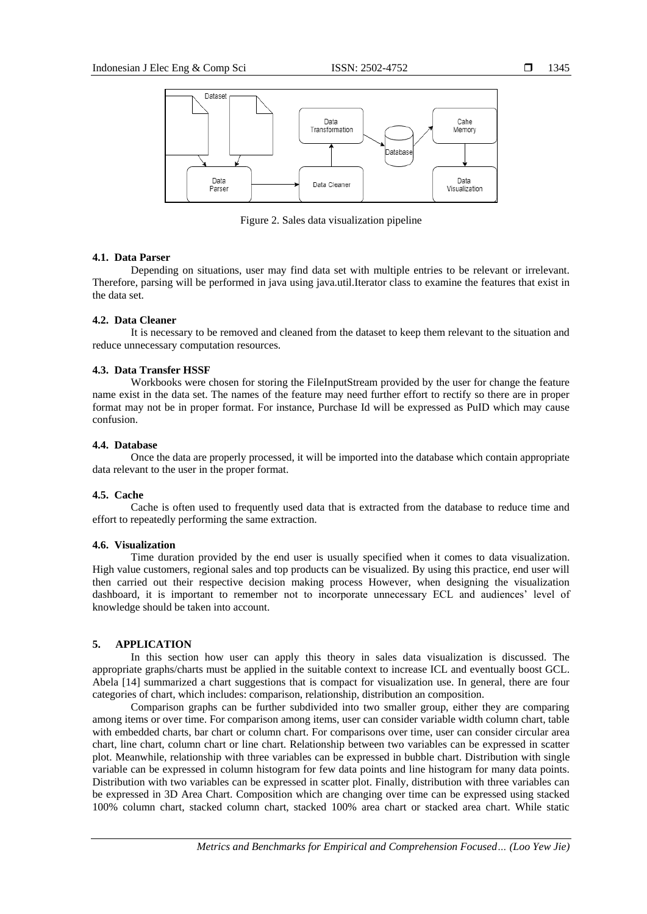

Figure 2. Sales data visualization pipeline

## **4.1. Data Parser**

Depending on situations, user may find data set with multiple entries to be relevant or irrelevant. Therefore, parsing will be performed in java using java.util.Iterator class to examine the features that exist in the data set.

### **4.2. Data Cleaner**

It is necessary to be removed and cleaned from the dataset to keep them relevant to the situation and reduce unnecessary computation resources.

# **4.3. Data Transfer HSSF**

Workbooks were chosen for storing the FileInputStream provided by the user for change the feature name exist in the data set. The names of the feature may need further effort to rectify so there are in proper format may not be in proper format. For instance, Purchase Id will be expressed as PuID which may cause confusion.

## **4.4. Database**

Once the data are properly processed, it will be imported into the database which contain appropriate data relevant to the user in the proper format.

## **4.5. Cache**

Cache is often used to frequently used data that is extracted from the database to reduce time and effort to repeatedly performing the same extraction.

## **4.6. Visualization**

Time duration provided by the end user is usually specified when it comes to data visualization. High value customers, regional sales and top products can be visualized. By using this practice, end user will then carried out their respective decision making process However, when designing the visualization dashboard, it is important to remember not to incorporate unnecessary ECL and audiences' level of knowledge should be taken into account.

#### **5. APPLICATION**

In this section how user can apply this theory in sales data visualization is discussed. The appropriate graphs/charts must be applied in the suitable context to increase ICL and eventually boost GCL. Abela [14] summarized a chart suggestions that is compact for visualization use. In general, there are four categories of chart, which includes: comparison, relationship, distribution an composition.

Comparison graphs can be further subdivided into two smaller group, either they are comparing among items or over time. For comparison among items, user can consider variable width column chart, table with embedded charts, bar chart or column chart. For comparisons over time, user can consider circular area chart, line chart, column chart or line chart. Relationship between two variables can be expressed in scatter plot. Meanwhile, relationship with three variables can be expressed in bubble chart. Distribution with single variable can be expressed in column histogram for few data points and line histogram for many data points. Distribution with two variables can be expressed in scatter plot. Finally, distribution with three variables can be expressed in 3D Area Chart. Composition which are changing over time can be expressed using stacked 100% column chart, stacked column chart, stacked 100% area chart or stacked area chart. While static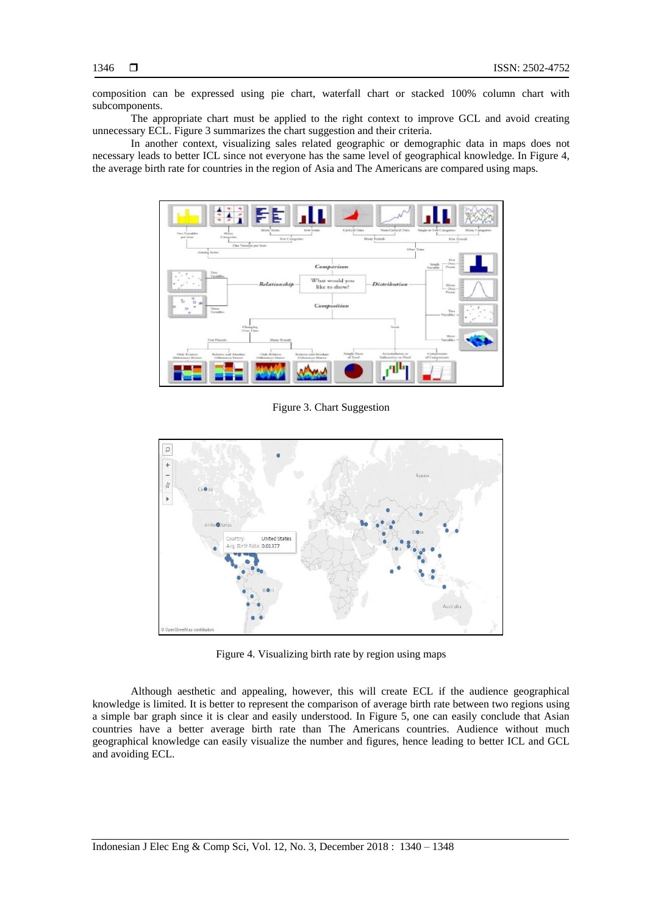composition can be expressed using pie chart, waterfall chart or stacked 100% column chart with subcomponents.

The appropriate chart must be applied to the right context to improve GCL and avoid creating unnecessary ECL. Figure 3 summarizes the chart suggestion and their criteria.

In another context, visualizing sales related geographic or demographic data in maps does not necessary leads to better ICL since not everyone has the same level of geographical knowledge. In Figure 4, the average birth rate for countries in the region of Asia and The Americans are compared using maps.



Figure 3. Chart Suggestion



Figure 4. Visualizing birth rate by region using maps

Although aesthetic and appealing, however, this will create ECL if the audience geographical knowledge is limited. It is better to represent the comparison of average birth rate between two regions using a simple bar graph since it is clear and easily understood. In Figure 5, one can easily conclude that Asian countries have a better average birth rate than The Americans countries. Audience without much geographical knowledge can easily visualize the number and figures, hence leading to better ICL and GCL and avoiding ECL.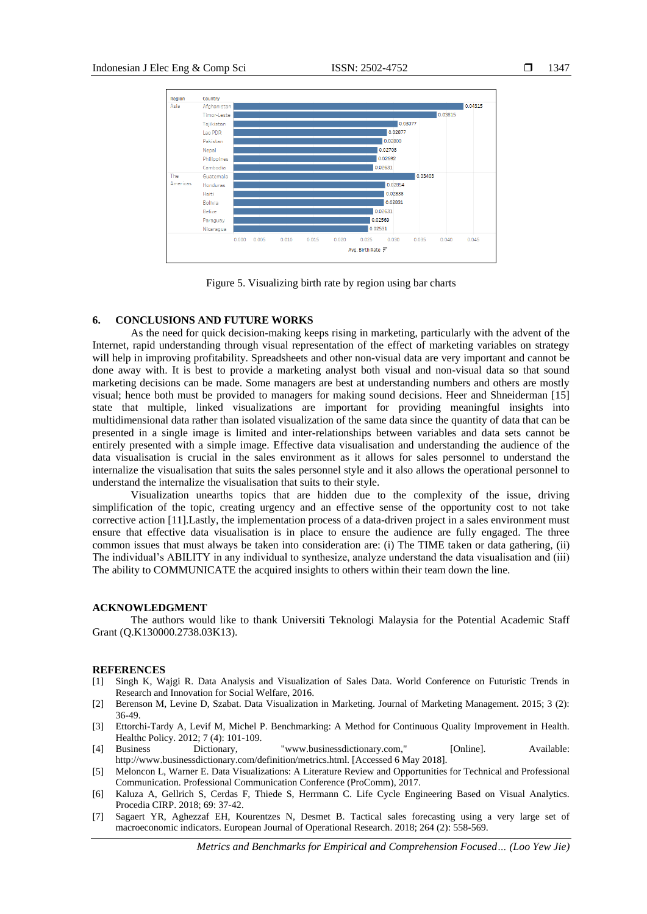

Figure 5. Visualizing birth rate by region using bar charts

## **6. CONCLUSIONS AND FUTURE WORKS**

As the need for quick decision-making keeps rising in marketing, particularly with the advent of the Internet, rapid understanding through visual representation of the effect of marketing variables on strategy will help in improving profitability. Spreadsheets and other non-visual data are very important and cannot be done away with. It is best to provide a marketing analyst both visual and non-visual data so that sound marketing decisions can be made. Some managers are best at understanding numbers and others are mostly visual; hence both must be provided to managers for making sound decisions. Heer and Shneiderman [15] state that multiple, linked visualizations are important for providing meaningful insights into multidimensional data rather than isolated visualization of the same data since the quantity of data that can be presented in a single image is limited and inter-relationships between variables and data sets cannot be entirely presented with a simple image. Effective data visualisation and understanding the audience of the data visualisation is crucial in the sales environment as it allows for sales personnel to understand the internalize the visualisation that suits the sales personnel style and it also allows the operational personnel to understand the internalize the visualisation that suits to their style.

Visualization unearths topics that are hidden due to the complexity of the issue, driving simplification of the topic, creating urgency and an effective sense of the opportunity cost to not take corrective action [11].Lastly, the implementation process of a data-driven project in a sales environment must ensure that effective data visualisation is in place to ensure the audience are fully engaged. The three common issues that must always be taken into consideration are: (i) The TIME taken or data gathering, (ii) The individual's ABILITY in any individual to synthesize, analyze understand the data visualisation and (iii) The ability to COMMUNICATE the acquired insights to others within their team down the line.

#### **ACKNOWLEDGMENT**

The authors would like to thank Universiti Teknologi Malaysia for the Potential Academic Staff Grant (Q.K130000.2738.03K13).

## **REFERENCES**

- [1] Singh K, Wajgi R. Data Analysis and Visualization of Sales Data. World Conference on Futuristic Trends in Research and Innovation for Social Welfare, 2016.
- [2] Berenson M, Levine D, Szabat. Data Visualization in Marketing. Journal of Marketing Management. 2015; 3 (2): 36-49.
- [3] Ettorchi-Tardy A, Levif M, Michel P. Benchmarking: A Method for Continuous Quality Improvement in Health. Healthc Policy. 2012; 7 (4): 101-109.
- [4] Business Dictionary, "www.businessdictionary.com," [Online]. Available: http://www.businessdictionary.com/definition/metrics.html. [Accessed 6 May 2018].
- [5] Meloncon L, Warner E. Data Visualizations: A Literature Review and Opportunities for Technical and Professional Communication. Professional Communication Conference (ProComm), 2017.
- [6] Kaluza A, Gellrich S, Cerdas F, Thiede S, Herrmann C. Life Cycle Engineering Based on Visual Analytics. Procedia CIRP. 2018; 69: 37-42.
- [7] Sagaert YR, Aghezzaf EH, Kourentzes N, Desmet B. Tactical sales forecasting using a very large set of macroeconomic indicators. European Journal of Operational Research. 2018; 264 (2): 558-569.